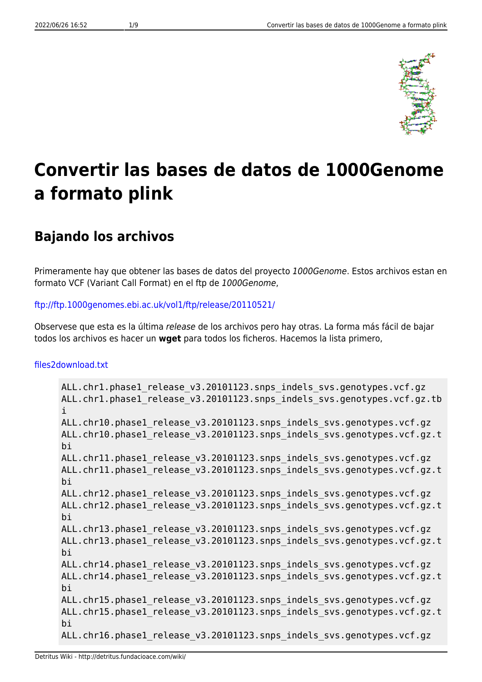

# **Convertir las bases de datos de 1000Genome a formato plink**

# **Bajando los archivos**

Primeramente hay que obtener las bases de datos del proyecto 1000Genome. Estos archivos estan en formato VCF (Variant Call Format) en el ftp de 1000Genome,

#### <ftp://ftp.1000genomes.ebi.ac.uk/vol1/ftp/release/20110521/>

Observese que esta es la última release de los archivos pero hay otras. La forma más fácil de bajar todos los archivos es hacer un **wget** para todos los ficheros. Hacemos la lista primero,

#### [files2download.txt](http://detritus.fundacioace.com/wiki/doku.php?do=export_code&id=genetica:pre_1kg&codeblock=0)

```
ALL.chr1.phase1_release_v3.20101123.snps_indels_svs.genotypes.vcf.gz
ALL.chr1.phase1 release v3.20101123.snps indels svs.genotypes.vcf.gz.tb
i
ALL.chr10.phase1 release v3.20101123.snps indels svs.genotypes.vcf.gz
ALL.chr10.phase1 release v3.20101123.snps indels svs.genotypes.vcf.gz.t
bi
ALL.chr11.phase1 release v3.20101123.snps indels svs.genotypes.vcf.gz
ALL.chr11.phase1 release v3.20101123.snps indels svs.genotypes.vcf.gz.t
bi
ALL.chr12.phase1 release v3.20101123.snps indels svs.genotypes.vcf.gz
ALL.chr12.phase1 release v3.20101123.snps indels svs.genotypes.vcf.gz.t
bi
ALL.chr13.phase1 release v3.20101123.snps indels svs.genotypes.vcf.gz
ALL.chr13.phase1 release v3.20101123.snps indels svs.genotypes.vcf.gz.t
bi
ALL.chr14.phase1 release v3.20101123.snps indels svs.genotypes.vcf.gz
ALL.chr14.phase1 release v3.20101123.snps indels svs.genotypes.vcf.gz.t
bi
ALL.chr15.phase1 release v3.20101123.snps indels svs.genotypes.vcf.gz
ALL.chr15.phase1 release v3.20101123.snps indels svs.genotypes.vcf.gz.t
bi
ALL.chr16.phase1 release v3.20101123.snps indels svs.genotypes.vcf.gz
```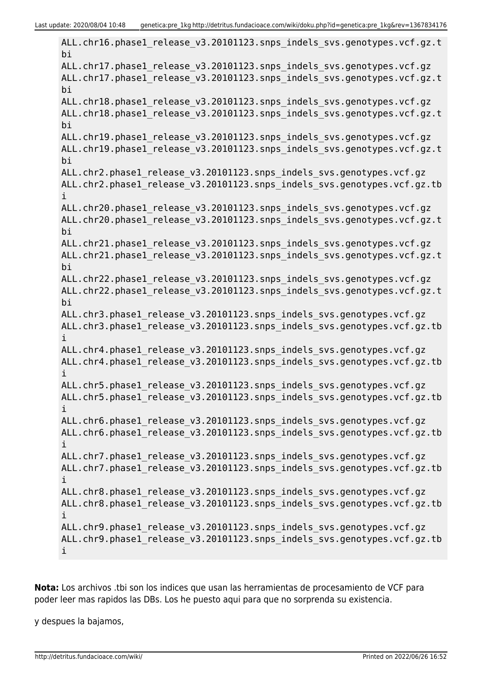ALL.chr16.phase1 release v3.20101123.snps indels svs.genotypes.vcf.gz.t bi ALL.chr17.phase1 release v3.20101123.snps indels svs.genotypes.vcf.gz ALL.chr17.phase1 release v3.20101123.snps indels svs.genotypes.vcf.gz.t bi ALL.chr18.phase1 release v3.20101123.snps indels svs.genotypes.vcf.gz ALL.chr18.phase1\_release\_v3.20101123.snps\_indels\_svs.genotypes.vcf.gz.t bi ALL.chr19.phase1 release v3.20101123.snps indels svs.genotypes.vcf.gz ALL.chr19.phase1 release v3.20101123.snps indels svs.genotypes.vcf.gz.t bi ALL.chr2.phase1\_release\_v3.20101123.snps\_indels\_svs.genotypes.vcf.gz ALL.chr2.phase1 release v3.20101123.snps indels svs.genotypes.vcf.gz.tb i ALL.chr20.phase1 release v3.20101123.snps indels svs.genotypes.vcf.gz ALL.chr20.phase1 release v3.20101123.snps indels svs.genotypes.vcf.gz.t bi ALL.chr21.phase1 release v3.20101123.snps indels svs.genotypes.vcf.gz ALL.chr21.phase1 release v3.20101123.snps indels svs.genotypes.vcf.gz.t bi ALL.chr22.phase1 release v3.20101123.snps indels svs.genotypes.vcf.gz ALL.chr22.phase1 release v3.20101123.snps indels svs.genotypes.vcf.gz.t bi ALL.chr3.phase1 release v3.20101123.snps indels svs.genotypes.vcf.gz ALL.chr3.phase1\_release\_v3.20101123.snps\_indels\_svs.genotypes.vcf.gz.tb i ALL.chr4.phase1 release v3.20101123.snps indels svs.genotypes.vcf.gz ALL.chr4.phase1 release v3.20101123.snps indels svs.genotypes.vcf.gz.tb i ALL.chr5.phase1 release v3.20101123.snps indels svs.genotypes.vcf.gz ALL.chr5.phase1 release v3.20101123.snps indels svs.genotypes.vcf.gz.tb i ALL.chr6.phase1 release v3.20101123.snps indels svs.genotypes.vcf.gz ALL.chr6.phase1 release v3.20101123.snps indels svs.genotypes.vcf.gz.tb i ALL.chr7.phase1 release v3.20101123.snps indels svs.genotypes.vcf.gz ALL.chr7.phase1 release v3.20101123.snps indels svs.genotypes.vcf.gz.tb i ALL.chr8.phase1\_release\_v3.20101123.snps\_indels\_svs.genotypes.vcf.gz ALL.chr8.phase1\_release\_v3.20101123.snps\_indels\_svs.genotypes.vcf.gz.tb i ALL.chr9.phase1 release v3.20101123.snps indels svs.genotypes.vcf.gz ALL.chr9.phase1 release v3.20101123.snps indels svs.genotypes.vcf.gz.tb i

**Nota:** Los archivos .tbi son los indices que usan las herramientas de procesamiento de VCF para poder leer mas rapidos las DBs. Los he puesto aqui para que no sorprenda su existencia.

y despues la bajamos,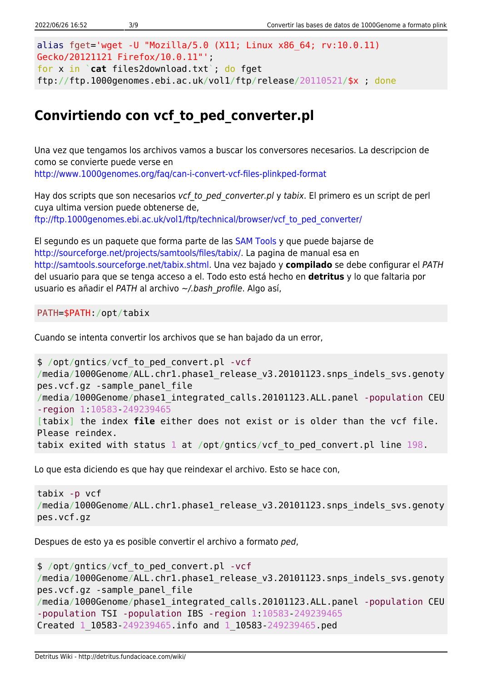```
alias fget='wget -U "Mozilla/5.0 (X11; Linux x86_64; rv:10.0.11)
Gecko/20121121 Firefox/10.0.11"';
for x in `cat files2download.txt`; do fget
ftp://ftp.1000genomes.ebi.ac.uk/vol1/ftp/release/20110521/$x ; done
```
# **Convirtiendo con vcf\_to\_ped\_converter.pl**

Una vez que tengamos los archivos vamos a buscar los conversores necesarios. La descripcion de como se convierte puede verse en <http://www.1000genomes.org/faq/can-i-convert-vcf-files-plinkped-format>

Hay dos scripts que son necesarios vcf to ped converter.pl y tabix. El primero es un script de perl cuya ultima version puede obtenerse de, [ftp://ftp.1000genomes.ebi.ac.uk/vol1/ftp/technical/browser/vcf\\_to\\_ped\\_converter/](ftp://ftp.1000genomes.ebi.ac.uk/vol1/ftp/technical/browser/vcf_to_ped_converter/)

El segundo es un paquete que forma parte de las [SAM Tools](http://samtools.sourceforge.net/) y que puede bajarse de [http://sourceforge.net/projects/samtools/files/tabix/.](http://sourceforge.net/projects/samtools/files/tabix/) La pagina de manual esa en <http://samtools.sourceforge.net/tabix.shtml>. Una vez bajado y **compilado** se debe configurar el PATH del usuario para que se tenga acceso a el. Todo esto está hecho en **detritus** y lo que faltaria por usuario es añadir el PATH al archivo ~/.bash profile. Algo así,

PATH=\$PATH:/opt/tabix

Cuando se intenta convertir los archivos que se han bajado da un error,

```
$ /opt/gntics/vcf_to_ped_convert.pl -vcf
/media/1000Genome/ALL.chr1.phase1 release v3.20101123.snps indels svs.genoty
pes.vcf.gz -sample_panel_file
/media/1000Genome/phase1_integrated_calls.20101123.ALL.panel -population CEU
-region 1:10583-249239465
[tabix] the index file either does not exist or is older than the vcf file.
Please reindex.
tabix exited with status 1 at /opt/gntics/vcf_to_ped_convert.pl line 198.
```
Lo que esta diciendo es que hay que reindexar el archivo. Esto se hace con,

```
tabix -p vcf
/media/1000Genome/ALL.chr1.phase1 release v3.20101123.snps indels svs.genoty
pes.vcf.gz
```
Despues de esto ya es posible convertir el archivo a formato ped,

```
$ /opt/gntics/vcf_to_ped_convert.pl -vcf
/media/1000Genome/ALL.chr1.phase1 release v3.20101123.snps indels svs.genoty
pes.vcf.gz -sample_panel_file
/media/1000Genome/phase1_integrated_calls.20101123.ALL.panel -population CEU
-population TSI -population IBS -region 1:10583-249239465
Created 1_10583-249239465.info and 1_10583-249239465.ped
```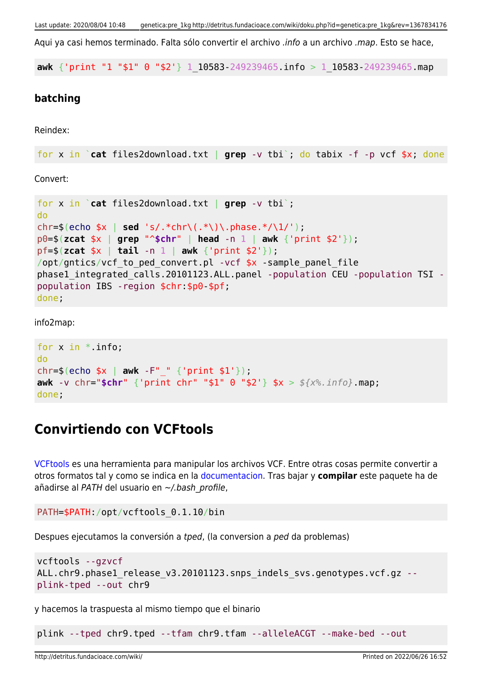Aqui ya casi hemos terminado. Falta sólo convertir el archivo .info a un archivo .map. Esto se hace,

**awk** {'print "1 "\$1" 0 "\$2'} 1\_10583-249239465.info > 1\_10583-249239465.map

#### **batching**

Reindex:

```
for x in `cat files2download.txt | grep -v tbi`; do tabix -f -p vcf $x; done
```
Convert:

```
for x in `cat files2download.txt | grep -v tbi`;
do
chr=$(echo $x | sed 's/.*chr\(.*\)\.phase.*/\1/');
p0=$(zcat $x | grep "^$chr" | head -n 1 | awk {'print $2'});
pf=$(zcat $x | tail -n 1 | awk {'print $2'});
/opt/gntics/vcf to ped convert.pl -vcf *x -sample panel file
phase1_integrated_calls.20101123.ALL.panel -population CEU -population TSI -
population IBS -region $chr:$p0-$pf;
done;
```
info2map:

```
for x in *. info;
do
chr=$(echo $x | awk -F"_" {'print $1'});
awk -v chr="$chr" {'print chr" "$1" 0 "$2'} $x > ${x%.info}.map;
done;
```
# **Convirtiendo con VCFtools**

[VCFtools](http://vcftools.sourceforge.net/index.html) es una herramienta para manipular los archivos VCF. Entre otras cosas permite convertir a otros formatos tal y como se indica en la [documentacion.](http://vcftools.sourceforge.net/options.html) Tras bajar y **compilar** este paquete ha de añadirse al PATH del usuario en ~/.bash\_profile,

```
PATH=$PATH:/opt/vcftools_0.1.10/bin
```
Despues ejecutamos la conversión a tped, (la conversion a ped da problemas)

```
vcftools --gzvcf
ALL.chr9.phase1_release_v3.20101123.snps_indels_svs.genotypes.vcf.gz --
plink-tped --out chr9
```
y hacemos la traspuesta al mismo tiempo que el binario

plink --tped chr9.tped --tfam chr9.tfam --alleleACGT --make-bed --out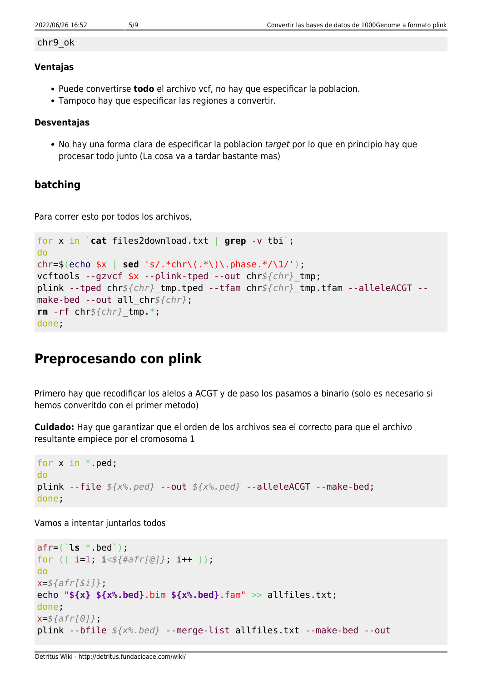#### chr9\_ok

#### **Ventajas**

- Puede convertirse **todo** el archivo vcf, no hay que especificar la poblacion.
- Tampoco hay que especificar las regiones a convertir.

#### **Desventajas**

• No hay una forma clara de especificar la poblacion target por lo que en principio hay que procesar todo junto (La cosa va a tardar bastante mas)

### **batching**

Para correr esto por todos los archivos,

```
for x in `cat files2download.txt | grep -v tbi`;
do
chr=$(echo $x | sed 's/.*chr\(.*\)\.phase.*/\1/');
vcftools --gzvcf $x --plink-tped --out chr${chr}_tmp;
plink --tped chr${chr}_tmp.tped --tfam chr${chr}_tmp.tfam --alleleACGT --
make-bed --out all_chr${chr};
rm -rf chr${chr}_tmp.*;
done;
```
# **Preprocesando con plink**

Primero hay que recodificar los alelos a ACGT y de paso los pasamos a binario (solo es necesario si hemos converitdo con el primer metodo)

**Cuidado:** Hay que garantizar que el orden de los archivos sea el correcto para que el archivo resultante empiece por el cromosoma 1

```
for x in * ped;
do
plink --file ${x%.ped} --out ${x%.ped} --alleleACGT --make-bed;
done;
```
Vamos a intentar juntarlos todos

```
afr=(`ls *.bed`);
for (( i=1; i<${#afr[@]}; i++ ));
do
x=${afr[$i]};
echo "${x} ${x%.bed}.bim ${x%.bed}.fam" >> allfiles.txt;
done;
x=${afr[0]};
plink --bfile ${x%.bed} --merge-list allfiles.txt --make-bed --out
```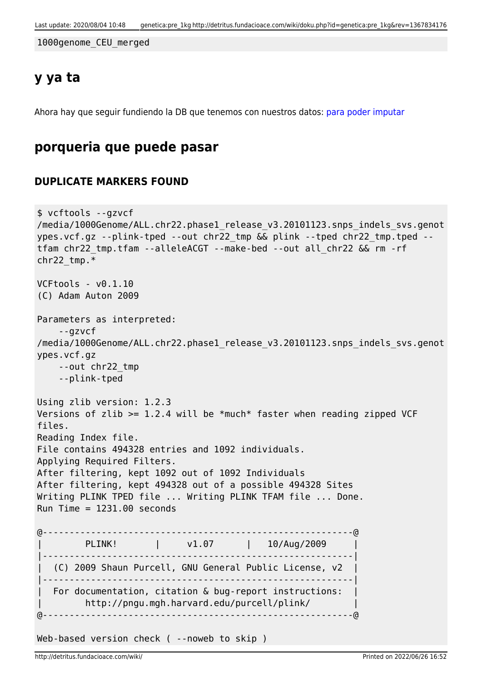1000genome\_CEU\_merged

## **y ya ta**

Ahora hay que seguir fundiendo la DB que tenemos con nuestros datos: [para poder imputar](http://detritus.fundacioace.com/wiki/doku.php?id=genetica:plink_1kg_impute)

## **porqueria que puede pasar**

### **DUPLICATE MARKERS FOUND**

```
$ vcftools --gzvcf
/media/1000Genome/ALL.chr22.phase1_release_v3.20101123.snps_indels_svs.genot
ypes.vcf.gz --plink-tped --out chr22_tmp && plink --tped chr22_tmp.tped --
tfam chr22_tmp.tfam --alleleACGT --make-bed --out all_chr22 && rm -rf
chr22 tmp.*VCFtools - v0.1.10
(C) Adam Auton 2009
Parameters as interpreted:
     --gzvcf
/media/1000Genome/ALL.chr22.phase1 release v3.20101123.snps indels svs.genot
ypes.vcf.gz
     --out chr22_tmp
     --plink-tped
Using zlib version: 1.2.3
Versions of zlib >= 1.2.4 will be *much* faster when reading zipped VCF
files.
Reading Index file.
File contains 494328 entries and 1092 individuals.
Applying Required Filters.
After filtering, kept 1092 out of 1092 Individuals
After filtering, kept 494328 out of a possible 494328 Sites
Writing PLINK TPED file ... Writing PLINK TFAM file ... Done.
Run Time = 1231.00 seconds@----------------------------------------------------------@
        PLINK! | v1.07 | 10/Aug/2009
|----------------------------------------------------------|
   | (C) 2009 Shaun Purcell, GNU General Public License, v2 |
|----------------------------------------------------------|
 For documentation, citation & bug-report instructions:
         | http://pngu.mgh.harvard.edu/purcell/plink/ |
@----------------------------------------------------------@
Web-based version check ( --noweb to skip )
```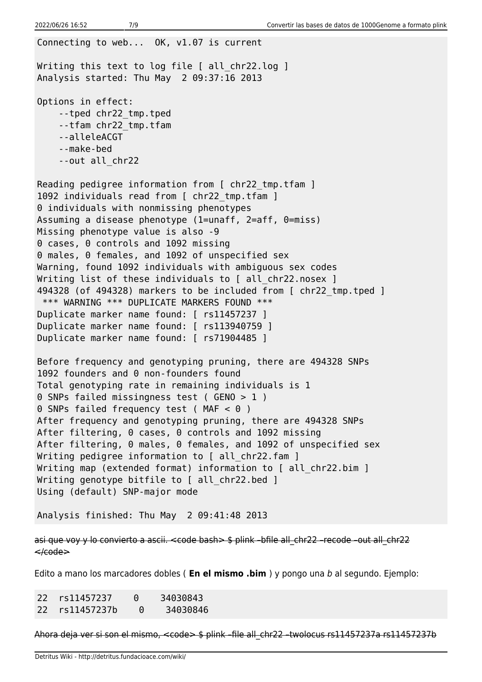Connecting to web... OK, v1.07 is current Writing this text to log file [ all chr22.log ] Analysis started: Thu May 2 09:37:16 2013 Options in effect: --tped chr22\_tmp.tped --tfam chr22\_tmp.tfam --alleleACGT --make-bed --out all\_chr22 Reading pedigree information from [ chr22 tmp.tfam ] 1092 individuals read from [ chr22 tmp.tfam ] 0 individuals with nonmissing phenotypes Assuming a disease phenotype (1=unaff, 2=aff, 0=miss) Missing phenotype value is also -9 0 cases, 0 controls and 1092 missing 0 males, 0 females, and 1092 of unspecified sex Warning, found 1092 individuals with ambiguous sex codes Writing list of these individuals to [ all chr22.nosex ] 494328 (of 494328) markers to be included from [ chr22\_tmp.tped ] \*\*\* WARNING \*\*\* DUPLICATE MARKERS FOUND \*\*\* Duplicate marker name found: [ rs11457237 ] Duplicate marker name found: [ rs113940759 ] Duplicate marker name found: [ rs71904485 ] Before frequency and genotyping pruning, there are 494328 SNPs 1092 founders and 0 non-founders found Total genotyping rate in remaining individuals is 1 0 SNPs failed missingness test ( GENO > 1 ) 0 SNPs failed frequency test (MAF < 0 ) After frequency and genotyping pruning, there are 494328 SNPs After filtering, 0 cases, 0 controls and 1092 missing After filtering, 0 males, 0 females, and 1092 of unspecified sex Writing pedigree information to [ all chr22.fam ] Writing map (extended format) information to [ all chr22.bim ] Writing genotype bitfile to [ all chr22.bed ] Using (default) SNP-major mode Analysis finished: Thu May 2 09:41:48 2013

asi que voy y lo convierto a ascii. <code bash> \$ plink -bfile all chr22 -recode -out all chr22  $\leq$  $\leq$  $\leq$ 

Edito a mano los marcadores dobles ( **En el mismo .bim** ) y pongo una b al segundo. Ejemplo:

22 rs11457237 0 34030843 22 rs11457237b 0 34030846

Ahora deja ver si son el mismo, <code> \$ plink -file all chr22 -twolocus rs11457237a rs11457237b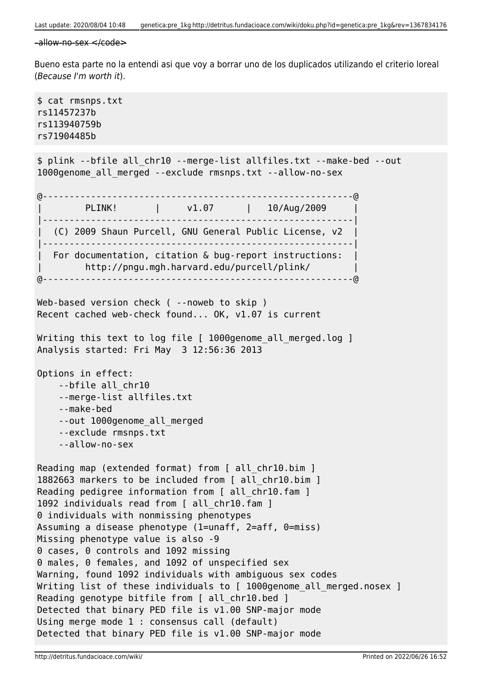```
-\text{allow-no-sex} \leq \text{code>}
```
Bueno esta parte no la entendi asi que voy a borrar uno de los duplicados utilizando el criterio loreal (Because I'm worth it).

\$ cat rmsnps.txt rs11457237b rs113940759b rs71904485b \$ plink --bfile all\_chr10 --merge-list allfiles.txt --make-bed --out 1000genome\_all\_merged --exclude rmsnps.txt --allow-no-sex @----------------------------------------------------------@ PLINK! | v1.07 | 10/Aug/2009 |----------------------------------------------------------| | (C) 2009 Shaun Purcell, GNU General Public License, v2 | |----------------------------------------------------------| For documentation, citation & bug-report instructions: | http://pngu.mgh.harvard.edu/purcell/plink/ | @----------------------------------------------------------@ Web-based version check ( --noweb to skip ) Recent cached web-check found... OK, v1.07 is current Writing this text to log file [ 1000genome all merged.log ] Analysis started: Fri May 3 12:56:36 2013 Options in effect: --bfile all\_chr10 --merge-list allfiles.txt --make-bed --out 1000genome\_all\_merged --exclude rmsnps.txt --allow-no-sex Reading map (extended format) from [ all chr10.bim ] 1882663 markers to be included from [ all\_chr10.bim ] Reading pedigree information from [ all chr10.fam ] 1092 individuals read from [ all\_chr10.fam ] 0 individuals with nonmissing phenotypes Assuming a disease phenotype (1=unaff, 2=aff, 0=miss) Missing phenotype value is also -9 0 cases, 0 controls and 1092 missing 0 males, 0 females, and 1092 of unspecified sex Warning, found 1092 individuals with ambiguous sex codes Writing list of these individuals to [ 1000genome all merged.nosex ] Reading genotype bitfile from [ all chr10.bed ] Detected that binary PED file is v1.00 SNP-major mode Using merge mode 1 : consensus call (default) Detected that binary PED file is v1.00 SNP-major mode